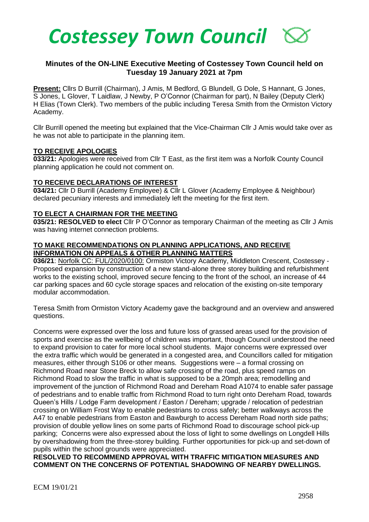

# **Minutes of the ON-LINE Executive Meeting of Costessey Town Council held on Tuesday 19 January 2021 at 7pm**

**Present:** Cllrs D Burrill (Chairman), J Amis, M Bedford, G Blundell, G Dole, S Hannant, G Jones, S Jones, L Glover, T Laidlaw, J Newby, P O'Connor (Chairman for part), N Bailey (Deputy Clerk) H Elias (Town Clerk). Two members of the public including Teresa Smith from the Ormiston Victory Academy.

Cllr Burrill opened the meeting but explained that the Vice-Chairman Cllr J Amis would take over as he was not able to participate in the planning item.

#### **TO RECEIVE APOLOGIES**

**033/21:** Apologies were received from Cllr T East, as the first item was a Norfolk County Council planning application he could not comment on.

#### **TO RECEIVE DECLARATIONS OF INTEREST**

**034/21:** Cllr D Burrill (Academy Employee) & Cllr L Glover (Academy Employee & Neighbour) declared pecuniary interests and immediately left the meeting for the first item.

## **TO ELECT A CHAIRMAN FOR THE MEETING**

**035/21: RESOLVED to elect** Cllr P O'Connor as temporary Chairman of the meeting as Cllr J Amis was having internet connection problems.

#### **TO MAKE RECOMMENDATIONS ON PLANNING APPLICATIONS, AND RECEIVE INFORMATION ON APPEALS & OTHER PLANNING MATTERS**

**036/21**: Norfolk CC: FUL/2020/0100: Ormiston Victory Academy, Middleton Crescent, Costessey - Proposed expansion by construction of a new stand-alone three storey building and refurbishment works to the existing school, improved secure fencing to the front of the school, an increase of 44 car parking spaces and 60 cycle storage spaces and relocation of the existing on-site temporary modular accommodation.

Teresa Smith from Ormiston Victory Academy gave the background and an overview and answered questions.

Concerns were expressed over the loss and future loss of grassed areas used for the provision of sports and exercise as the wellbeing of children was important, though Council understood the need to expand provision to cater for more local school students. Major concerns were expressed over the extra traffic which would be generated in a congested area, and Councillors called for mitigation measures, either through S106 or other means. Suggestions were – a formal crossing on Richmond Road near Stone Breck to allow safe crossing of the road, plus speed ramps on Richmond Road to slow the traffic in what is supposed to be a 20mph area; remodelling and improvement of the junction of Richmond Road and Dereham Road A1074 to enable safer passage of pedestrians and to enable traffic from Richmond Road to turn right onto Dereham Road, towards Queen's Hills / Lodge Farm development / Easton / Dereham; upgrade / relocation of pedestrian crossing on William Frost Way to enable pedestrians to cross safely; better walkways across the A47 to enable pedestrians from Easton and Bawburgh to access Dereham Road north side paths; provision of double yellow lines on some parts of Richmond Road to discourage school pick-up parking; Concerns were also expressed about the loss of light to some dwellings on Longdell Hills by overshadowing from the three-storey building. Further opportunities for pick-up and set-down of pupils within the school grounds were appreciated.

**RESOLVED TO RECOMMEND APPROVAL WITH TRAFFIC MITIGATION MEASURES AND COMMENT ON THE CONCERNS OF POTENTIAL SHADOWING OF NEARBY DWELLINGS.**